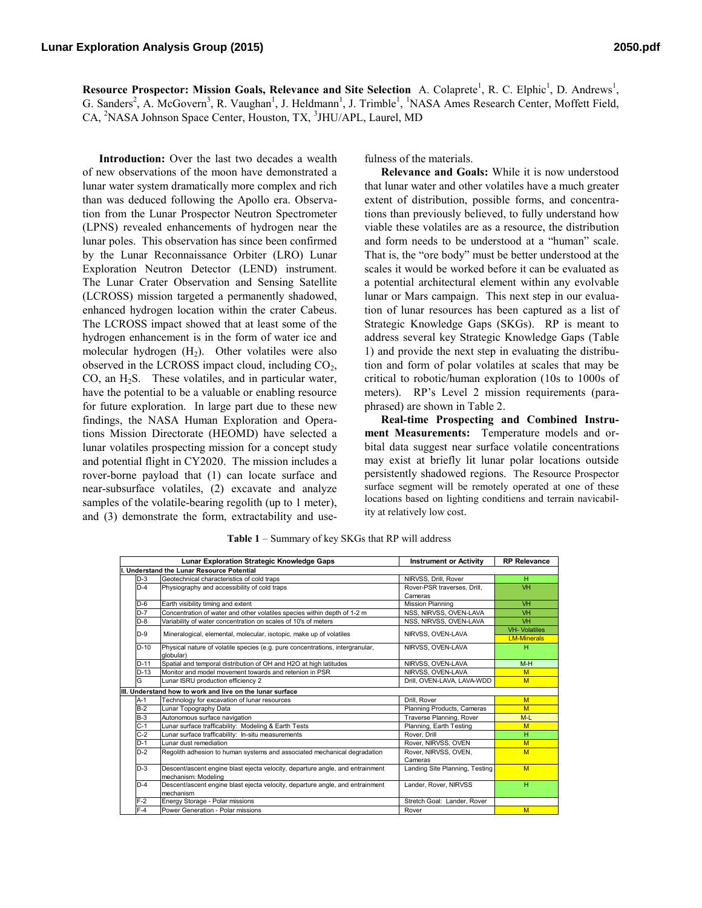Resource Prospector: Mission Goals, Relevance and Site Selection A. Colaprete<sup>1</sup>, R. C. Elphic<sup>1</sup>, D. Andrews<sup>1</sup>, G. Sanders<sup>2</sup>, A. McGovern<sup>3</sup>, R. Vaughan<sup>1</sup>, J. Heldmann<sup>1</sup>, J. Trimble<sup>1</sup>, <sup>1</sup>NASA Ames Research Center, Moffett Field, CA, <sup>2</sup>NASA Johnson Space Center, Houston, TX, <sup>3</sup>JHU/APL, Laurel, MD

**Introduction:** Over the last two decades a wealth of new observations of the moon have demonstrated a lunar water system dramatically more complex and rich than was deduced following the Apollo era. Observation from the Lunar Prospector Neutron Spectrometer (LPNS) revealed enhancements of hydrogen near the lunar poles. This observation has since been confirmed by the Lunar Reconnaissance Orbiter (LRO) Lunar Exploration Neutron Detector (LEND) instrument. The Lunar Crater Observation and Sensing Satellite (LCROSS) mission targeted a permanently shadowed, enhanced hydrogen location within the crater Cabeus. The LCROSS impact showed that at least some of the hydrogen enhancement is in the form of water ice and molecular hydrogen  $(H_2)$ . Other volatiles were also observed in the LCROSS impact cloud, including  $CO<sub>2</sub>$ ,  $CO$ , an  $H<sub>2</sub>S$ . These volatiles, and in particular water, have the potential to be a valuable or enabling resource for future exploration. In large part due to these new findings, the NASA Human Exploration and Operations Mission Directorate (HEOMD) have selected a lunar volatiles prospecting mission for a concept study and potential flight in CY2020. The mission includes a rover-borne payload that (1) can locate surface and near-subsurface volatiles, (2) excavate and analyze samples of the volatile-bearing regolith (up to 1 meter), and (3) demonstrate the form, extractability and usefulness of the materials.

**Relevance and Goals:** While it is now understood that lunar water and other volatiles have a much greater extent of distribution, possible forms, and concentrations than previously believed, to fully understand how viable these volatiles are as a resource, the distribution and form needs to be understood at a "human" scale. That is, the "ore body" must be better understood at the scales it would be worked before it can be evaluated as a potential architectural element within any evolvable lunar or Mars campaign. This next step in our evaluation of lunar resources has been captured as a list of Strategic Knowledge Gaps (SKGs). RP is meant to address several key Strategic Knowledge Gaps (Table 1) and provide the next step in evaluating the distribution and form of polar volatiles at scales that may be critical to robotic/human exploration (10s to 1000s of meters). RP's Level 2 mission requirements (paraphrased) are shown in Table 2.

**Real-time Prospecting and Combined Instrument Measurements:** Temperature models and orbital data suggest near surface volatile concentrations may exist at briefly lit lunar polar locations outside persistently shadowed regions. The Resource Prospector surface segment will be remotely operated at one of these locations based on lighting conditiens and terrain navicability at relatively low cost.

|        | Lunar Exploration Strategic Knowledge Gaps                                    | <b>Instrument or Activity</b>  | <b>RP Relevance</b>  |
|--------|-------------------------------------------------------------------------------|--------------------------------|----------------------|
|        | I. Understand the Lunar Resource Potential                                    |                                |                      |
| $D-3$  | Geotechnical characteristics of cold traps                                    | NIRVSS, Drill, Rover           | н                    |
| $D-4$  | Physiography and accessibility of cold traps                                  | Rover-PSR traverses, Drill.    | <b>VH</b>            |
|        |                                                                               | Cameras                        |                      |
| $D-6$  | Earth visibility timing and extent                                            | <b>Mission Planning</b>        | <b>VH</b>            |
| $D-7$  | Concentration of water and other volatiles species within depth of 1-2 m      | NSS, NIRVSS, OVEN-LAVA         | <b>VH</b>            |
| $D-8$  | Variability of water concentration on scales of 10's of meters                | NSS, NIRVSS, OVEN-LAVA         | <b>VH</b>            |
| $D-9$  | Mineralogical, elemental, molecular, isotopic, make up of volatiles           | NIRVSS, OVEN-LAVA              | <b>VH- Volatiles</b> |
|        |                                                                               |                                | <b>LM-Minerals</b>   |
| $D-10$ | Physical nature of volatile species (e.g. pure concentrations, intergranular, | NIRVSS, OVEN-LAVA              | н                    |
|        | dlobular)                                                                     |                                |                      |
| $D-11$ | Spatial and temporal distribution of OH and H2O at high latitudes             | NIRVSS, OVEN-LAVA              | $M-H$                |
| $D-13$ | Monitor and model movement towards and retenion in PSR                        | NIRVSS, OVEN-LAVA              | M                    |
| G      | Lunar ISRU production efficiency 2                                            | Drill, OVEN-LAVA, LAVA-WDD     | M                    |
|        | III. Understand how to work and live on the lunar surface                     |                                |                      |
| A-1    | Technology for excavation of lunar resources                                  | Drill, Rover                   | M                    |
| $B-2$  | Lunar Topography Data                                                         | Planning Products, Cameras     | M                    |
| $B-3$  | Autonomous surface navigation                                                 | Traverse Planning, Rover       | $M-L$                |
| $C-1$  | Lunar surface trafficability: Modeling & Earth Tests                          | Planning, Earth Testing        | M                    |
| $C-2$  | Lunar surface trafficability: In-situ measurements                            | Rover, Drill                   | H                    |
| $D-1$  | Lunar dust remediation                                                        | Rover, NIRVSS, OVEN            | M                    |
| $D-2$  | Regolith adhesion to human systems and associated mechanical degradation      | Rover, NIRVSS, OVEN,           | M                    |
|        |                                                                               | Cameras                        |                      |
| $D-3$  | Descent/ascent engine blast ejecta velocity, departure angle, and entrainment | Landing Site Planning, Testing | M                    |
|        | mechanism: Modeling                                                           |                                |                      |
| $D-4$  | Descent/ascent engine blast ejecta velocity, departure angle, and entrainment | Lander, Rover, NIRVSS          | H.                   |
|        | mechanism                                                                     |                                |                      |
| $F-2$  | Energy Storage - Polar missions                                               | Stretch Goal: Lander, Rover    |                      |
| $F-4$  | Power Generation - Polar missions                                             | Rover                          | M                    |

**Table 1** – Summary of key SKGs that RP will address